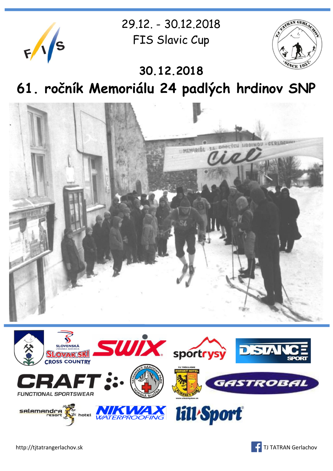

29.12. - 30.12.2018 FIS Slavic Cup



**30.12.2018 61. ročník Memoriálu 24 padlých hrdinov SNP**





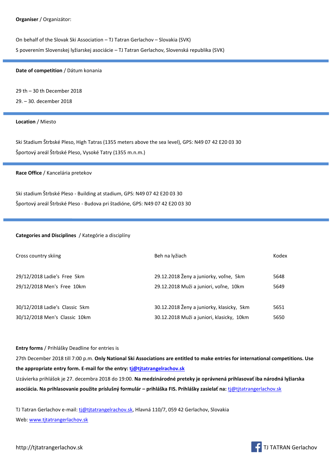On behalf of the Slovak Ski Association – TJ Tatran Gerlachov – Slovakia (SVK) S poverením Slovenskej lyžiarskej asociácie – TJ Tatran Gerlachov, Slovenská republika (SVK)

## **Date of competition** / Dátum konania

29 th – 30 th December 2018

29. – 30. december 2018

## **Location** / Miesto

Ski Stadium Štrbské Pleso, High Tatras (1355 meters above the sea level), GPS: N49 07 42 E20 03 30 Športový areál Štrbské Pleso, Vysoké Tatry (1355 m.n.m.)

### **Race Office** / Kancelária pretekov

Ski stadium Štrbské Pleso - Building at stadium, GPS: N49 07 42 E20 03 30 Športový areál Štrbské Pleso - Budova pri štadióne, GPS: N49 07 42 E20 03 30

## **Categories and Disciplines** / Kategórie a disciplíny

| Cross country skiing           | Beh na lyžiach                            | Kodex |
|--------------------------------|-------------------------------------------|-------|
|                                |                                           |       |
| 29/12/2018 Ladie's Free 5km    | 29.12.2018 Ženy a juniorky, voľne, 5km    | 5648  |
| 29/12/2018 Men's Free 10km     | 29.12.2018 Muži a juniori, voľne, 10km    | 5649  |
|                                |                                           |       |
| 30/12/2018 Ladie's Classic 5km | 30.12.2018 Ženy a juniorky, klasicky, 5km | 5651  |
| 30/12/2018 Men's Classic 10km  | 30.12.2018 Muži a juniori, klasicky, 10km | 5650  |

## **Entry forms** / Prihlášky Deadline for entries is

27th December 2018 till 7:00 p.m. **Only National Ski Associations are entitled to make entries for international competitions. Use the appropriate entry form. E-mail for the entry[: tj@tjtatrangelrachov.sk](mailto:tj@tjtatrangelrachov.sk)**

Uzávierka prihlášok je 27. decembra 2018 do 19:00. **Na medzinárodné preteky je oprávnená prihlasovať iba národná lyžiarska asociácia. Na prihlasovanie použite príslušný formulár – prihláška FIS. Prihlášky zasielať na:** [tj@tjtatrangerlachov.sk](mailto:tj@tjtatrangerlachov.sk)

TJ Tatran Gerlachov e-mail: [tj@tjtatrangelrachov.sk,](mailto:tj@tjtatrangelrachov.sk) Hlavná 110/7, 059 42 Gerlachov, Slovakia Web[: www.tjtatrangerlachov.sk](www.tjtatrangerlachov.sk%20)

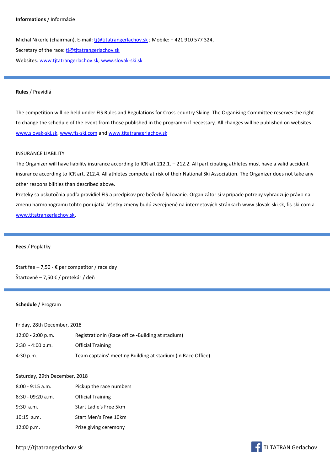### **Informations** / Informácie

Michal Nikerle (chairman), E-mail[: tj@tjtatrangerlachov.sk](mailto:tj@tjtatrangerlachov.sk) ; Mobile: +421 910 577 324, Secretary of the race: [tj@tjtatrangerlachov.sk](mailto:tj@tjtatrangerlachov.sk) Website[s: www.tjtatrangerlachov.sk,](:%20www.tjtatrangerlachov.sk) <www.slovak-ski.sk>

### **Rules** / Pravidlá

The competition will be held under FIS Rules and Regulations for Cross-country Skiing. The Organising Committee reserves the right to change the schedule of the event from those published in the programm if necessary. All changes will be published on websites [www.slovak-ski.sk,](www.slovak-ski.sk)<www.fis-ski.com> and<www.tjtatrangerlachov.sk>

## INSURANCE LIABILITY

The Organizer will have liability insurance according to ICR art 212.1. – 212.2. All participating athletes must have a valid accident insurance according to ICR art. 212.4. All athletes compete at risk of their National Ski Association. The Organizer does not take any other responsibilities than described above.

Preteky sa uskutočnia podľa pravidiel FIS a predpisov pre bežecké lyžovanie. Organizátor si v prípade potreby vyhradzuje právo na zmenu harmonogramu tohto podujatia. Všetky zmeny budú zverejnené na internetových stránkach www.slovak-ski.sk, fis-ski.com a [www.tjtatrangerlachov.sk.](www.tjtatrangerlachov.sk)

### **Fees** / Poplatky

Start fee – 7,50 -  $\epsilon$  per competitor / race day Štartovné – 7,50 € / pretekár / deň

### **Schedule** / Program

| Friday, 28th December, 2018 |  |  |
|-----------------------------|--|--|
|-----------------------------|--|--|

| 12:00 - 2:00 p.m.          | Registrationin (Race office -Building at stadium)           |
|----------------------------|-------------------------------------------------------------|
| $2:30 - 4:00 \text{ p.m.}$ | <b>Official Training</b>                                    |
| 4:30 p.m.                  | Team captains' meeting Building at stadium (in Race Office) |

### Saturday, 29th December, 2018

| $8:00 - 9:15$ a.m.  | Pickup the race numbers  |
|---------------------|--------------------------|
| $8:30 - 09:20$ a.m. | <b>Official Training</b> |
| $9:30$ a.m.         | Start Ladie's Free 5km   |
| $10:15$ a.m.        | Start Men's Free 10km    |
| 12:00 p.m.          | Prize giving ceremony    |

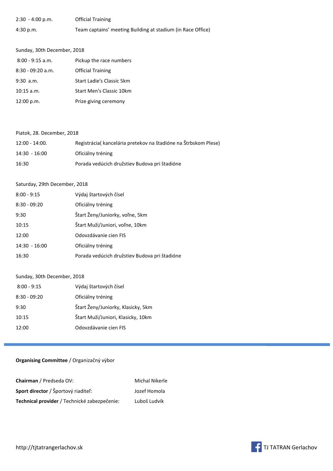| $2:30 - 4:00 \text{ p.m.}$ | <b>Official Training</b>                                    |
|----------------------------|-------------------------------------------------------------|
| 4:30 p.m.                  | Team captains' meeting Building at stadium (in Race Office) |

## Sunday, 30th December, 2018

| $8:00 - 9:15$ a.m.  | Pickup the race numbers   |
|---------------------|---------------------------|
| $8:30 - 09:20$ a.m. | <b>Official Training</b>  |
| $9:30$ a.m.         | Start Ladie's Classic 5km |
| $10:15$ a.m.        | Start Men's Classic 10km  |
| 12:00 p.m.          | Prize giving ceremony     |

## Piatok, 28. December, 2018

| $12:00 - 14:00.$ | Registrácia (kancelária pretekov na štadióne na Štrbskom Plese) |
|------------------|-----------------------------------------------------------------|
| $14:30 - 16:00$  | Oficiálny tréning                                               |
| 16:30            | Porada vedúcich družstiev Budova pri štadióne                   |

## Saturday, 29th December, 2018

| $8:00 - 9:15$   | Výdaj štartových čísel                        |
|-----------------|-----------------------------------------------|
| $8:30 - 09:20$  | Oficiálny tréning                             |
| 9:30            | Štart Ženy/Juniorky, voľne, 5km               |
| 10:15           | Štart Muži/Juniori, voľne, 10km               |
| 12:00           | Odovzdávanie cien FIS                         |
| $14:30 - 16:00$ | Oficiálny tréning                             |
| 16:30           | Porada vedúcich družstiev Budova pri štadióne |

## Sunday, 30th December, 2018

| $8:00 - 9:15$  | Výdaj štartových čísel             |
|----------------|------------------------------------|
| $8:30 - 09:20$ | Oficiálny tréning                  |
| 9:30           | Štart Ženy/Juniorky, Klasicky, 5km |
| 10:15          | Štart Muži/Juniori, Klasicky, 10km |
| 12:00          | Odovzdávanie cien FIS              |

## **Organising Committee** / Organizačný výbor

| <b>Chairman</b> / Predseda OV:               | Michal Nikerle |
|----------------------------------------------|----------------|
| Sport director / Športový riaditeľ:          | Jozef Homola   |
| Technical provider / Technické zabezpečenie: | Luboš Ludvik   |